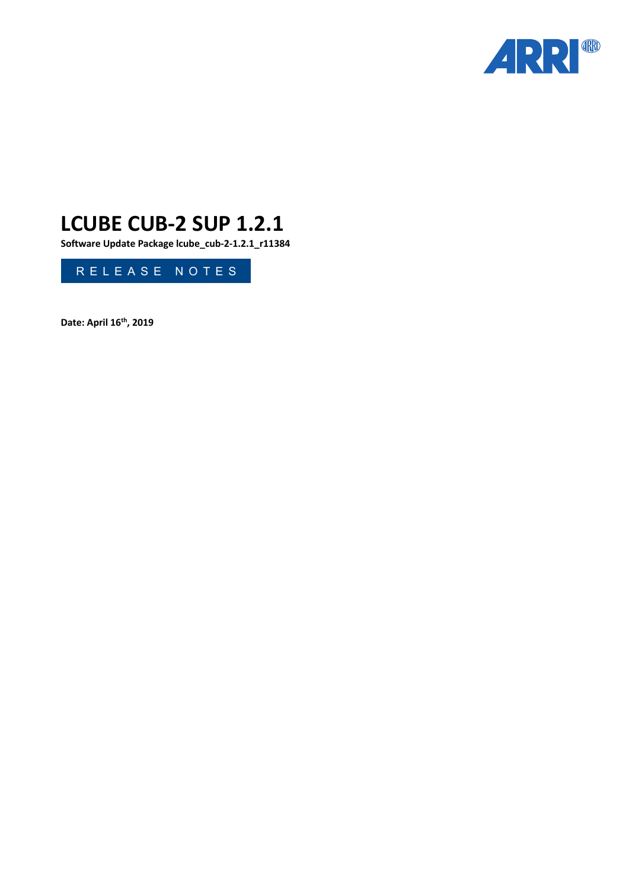

# **LCUBE CUB-2 SUP 1.2.1**

**Software Update Package lcube\_cub-2-1.2.1\_r11384**

RELEASE NOTES

**Date: April 16th, 2019**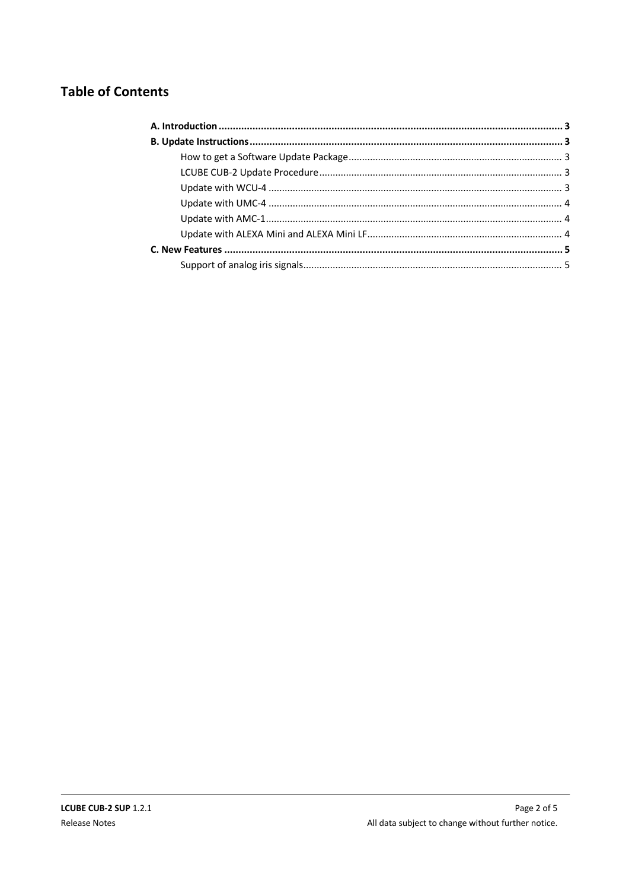# **Table of Contents**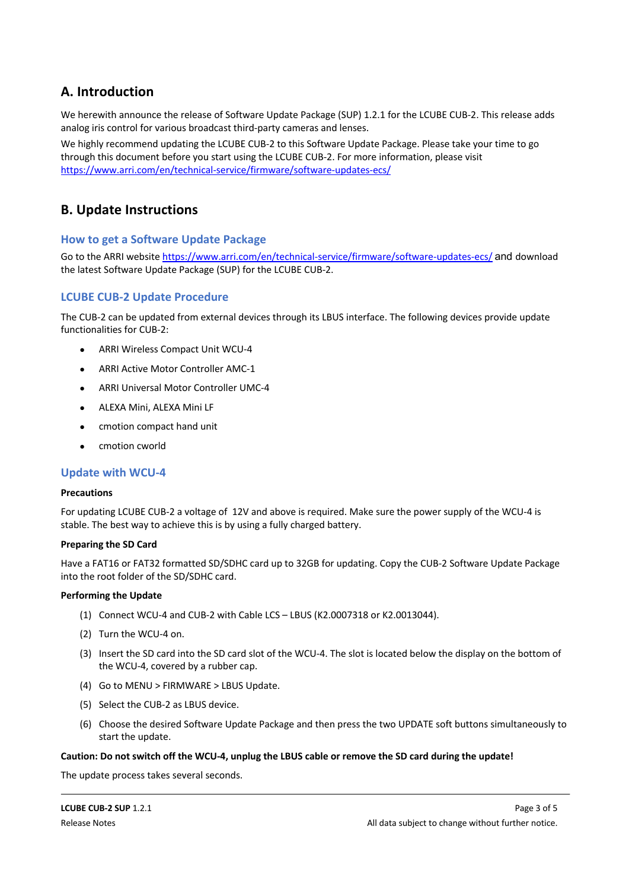# **A. Introduction**

We herewith announce the release of Software Update Package (SUP) 1.2.1 for the LCUBE CUB-2. This release adds analog iris control for various broadcast third-party cameras and lenses.

We highly recommend updating the LCUBE CUB-2 to this Software Update Package. Please take your time to go through this document before you start using the LCUBE CUB-2. For more information, please visit https://www.arri.com/en/technical-service/firmware/software-updates-ecs/

# **B. Update Instructions**

#### **How to get a Software Update Package**

Go to the ARRI website https://www.arri.com/en/technical-service/firmware/software-updates-ecs/ and download the latest Software Update Package (SUP) for the LCUBE CUB-2.

#### **LCUBE CUB-2 Update Procedure**

The CUB-2 can be updated from external devices through its LBUS interface. The following devices provide update functionalities for CUB-2:

- ARRI Wireless Compact Unit WCU-4
- ARRI Active Motor Controller AMC-1
- ARRI Universal Motor Controller UMC-4
- ALEXA Mini, ALEXA Mini LF
- cmotion compact hand unit
- cmotion cworld

#### **Update with WCU-4**

#### **Precautions**

For updating LCUBE CUB-2 a voltage of 12V and above is required. Make sure the power supply of the WCU-4 is stable. The best way to achieve this is by using a fully charged battery.

#### **Preparing the SD Card**

Have a FAT16 or FAT32 formatted SD/SDHC card up to 32GB for updating. Copy the CUB-2 Software Update Package into the root folder of the SD/SDHC card.

#### **Performing the Update**

- (1) Connect WCU-4 and CUB-2 with Cable LCS LBUS (K2.0007318 or K2.0013044).
- (2) Turn the WCU-4 on.
- (3) Insert the SD card into the SD card slot of the WCU-4. The slot is located below the display on the bottom of the WCU-4, covered by a rubber cap.
- (4) Go to MENU > FIRMWARE > LBUS Update.
- (5) Select the CUB-2 as LBUS device.
- (6) Choose the desired Software Update Package and then press the two UPDATE soft buttons simultaneously to start the update.

#### **Caution: Do not switch off the WCU-4, unplug the LBUS cable or remove the SD card during the update!**

The update process takes several seconds.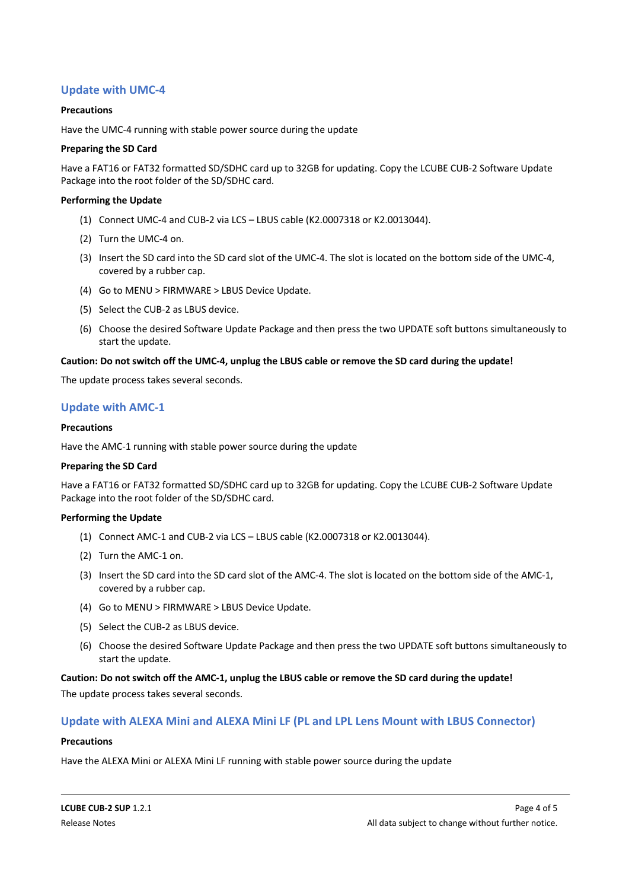### **Update with UMC-4**

#### **Precautions**

Have the UMC-4 running with stable power source during the update

#### **Preparing the SD Card**

Have a FAT16 or FAT32 formatted SD/SDHC card up to 32GB for updating. Copy the LCUBE CUB-2 Software Update Package into the root folder of the SD/SDHC card.

#### **Performing the Update**

- (1) Connect UMC-4 and CUB-2 via LCS LBUS cable (K2.0007318 or K2.0013044).
- (2) Turn the UMC-4 on.
- (3) Insert the SD card into the SD card slot of the UMC-4. The slot is located on the bottom side of the UMC-4, covered by a rubber cap.
- (4) Go to MENU > FIRMWARE > LBUS Device Update.
- (5) Select the CUB-2 as LBUS device.
- (6) Choose the desired Software Update Package and then press the two UPDATE soft buttons simultaneously to start the update.

#### **Caution: Do not switch off the UMC-4, unplug the LBUS cable or remove the SD card during the update!**

The update process takes several seconds.

#### **Update with AMC-1**

#### **Precautions**

Have the AMC-1 running with stable power source during the update

#### **Preparing the SD Card**

Have a FAT16 or FAT32 formatted SD/SDHC card up to 32GB for updating. Copy the LCUBE CUB-2 Software Update Package into the root folder of the SD/SDHC card.

#### **Performing the Update**

- (1) Connect AMC-1 and CUB-2 via LCS LBUS cable (K2.0007318 or K2.0013044).
- (2) Turn the AMC-1 on.
- (3) Insert the SD card into the SD card slot of the AMC-4. The slot is located on the bottom side of the AMC-1, covered by a rubber cap.
- (4) Go to MENU > FIRMWARE > LBUS Device Update.
- (5) Select the CUB-2 as LBUS device.
- (6) Choose the desired Software Update Package and then press the two UPDATE soft buttons simultaneously to start the update.

#### **Caution: Do not switch off the AMC-1, unplug the LBUS cable or remove the SD card during the update!**

The update process takes several seconds.

#### **Update with ALEXA Mini and ALEXA Mini LF (PL and LPL Lens Mount with LBUS Connector)**

#### **Precautions**

Have the ALEXA Mini or ALEXA Mini LF running with stable power source during the update